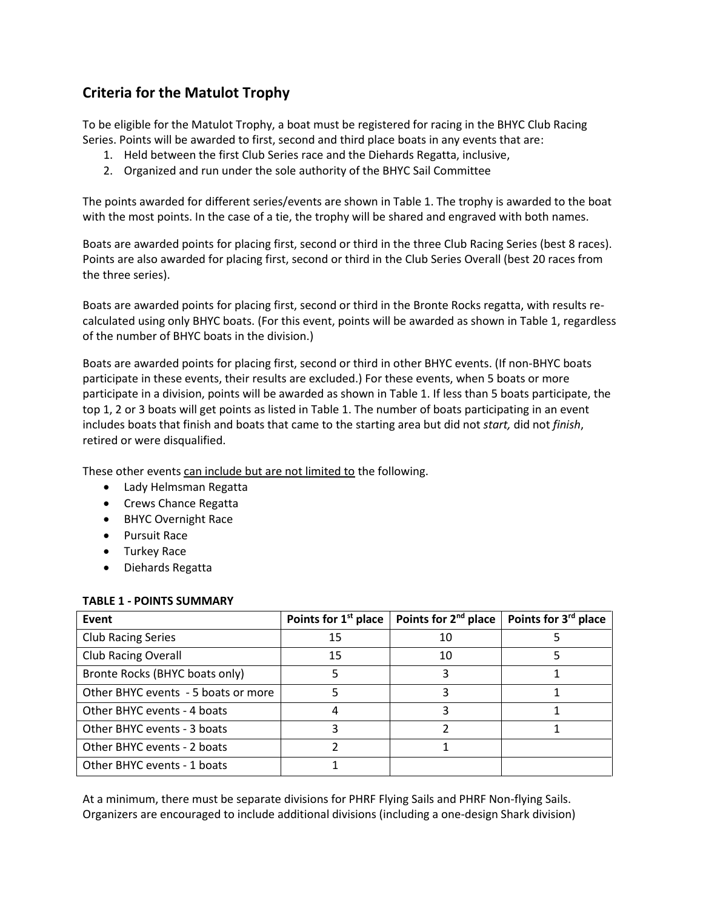## **Criteria for the Matulot Trophy**

To be eligible for the Matulot Trophy, a boat must be registered for racing in the BHYC Club Racing Series. Points will be awarded to first, second and third place boats in any events that are:

- 1. Held between the first Club Series race and the Diehards Regatta, inclusive,
- 2. Organized and run under the sole authority of the BHYC Sail Committee

The points awarded for different series/events are shown in Table 1. The trophy is awarded to the boat with the most points. In the case of a tie, the trophy will be shared and engraved with both names.

Boats are awarded points for placing first, second or third in the three Club Racing Series (best 8 races). Points are also awarded for placing first, second or third in the Club Series Overall (best 20 races from the three series).

Boats are awarded points for placing first, second or third in the Bronte Rocks regatta, with results recalculated using only BHYC boats. (For this event, points will be awarded as shown in Table 1, regardless of the number of BHYC boats in the division.)

Boats are awarded points for placing first, second or third in other BHYC events. (If non-BHYC boats participate in these events, their results are excluded.) For these events, when 5 boats or more participate in a division, points will be awarded as shown in Table 1. If less than 5 boats participate, the top 1, 2 or 3 boats will get points as listed in Table 1. The number of boats participating in an event includes boats that finish and boats that came to the starting area but did not *start,* did not *finish*, retired or were disqualified.

These other events can include but are not limited to the following.

- Lady Helmsman Regatta
- Crews Chance Regatta
- BHYC Overnight Race
- Pursuit Race
- Turkey Race
- Diehards Regatta

## **TABLE 1 - POINTS SUMMARY**

| Event                               | Points for 1 <sup>st</sup> place | Points for 2 <sup>nd</sup> place | Points for 3 <sup>rd</sup> place |
|-------------------------------------|----------------------------------|----------------------------------|----------------------------------|
| <b>Club Racing Series</b>           | 15                               | 10                               |                                  |
| <b>Club Racing Overall</b>          | 15                               | 10                               |                                  |
| Bronte Rocks (BHYC boats only)      |                                  |                                  |                                  |
| Other BHYC events - 5 boats or more |                                  |                                  |                                  |
| Other BHYC events - 4 boats         |                                  |                                  |                                  |
| Other BHYC events - 3 boats         |                                  |                                  |                                  |
| Other BHYC events - 2 boats         |                                  |                                  |                                  |
| Other BHYC events - 1 boats         |                                  |                                  |                                  |

At a minimum, there must be separate divisions for PHRF Flying Sails and PHRF Non-flying Sails. Organizers are encouraged to include additional divisions (including a one-design Shark division)